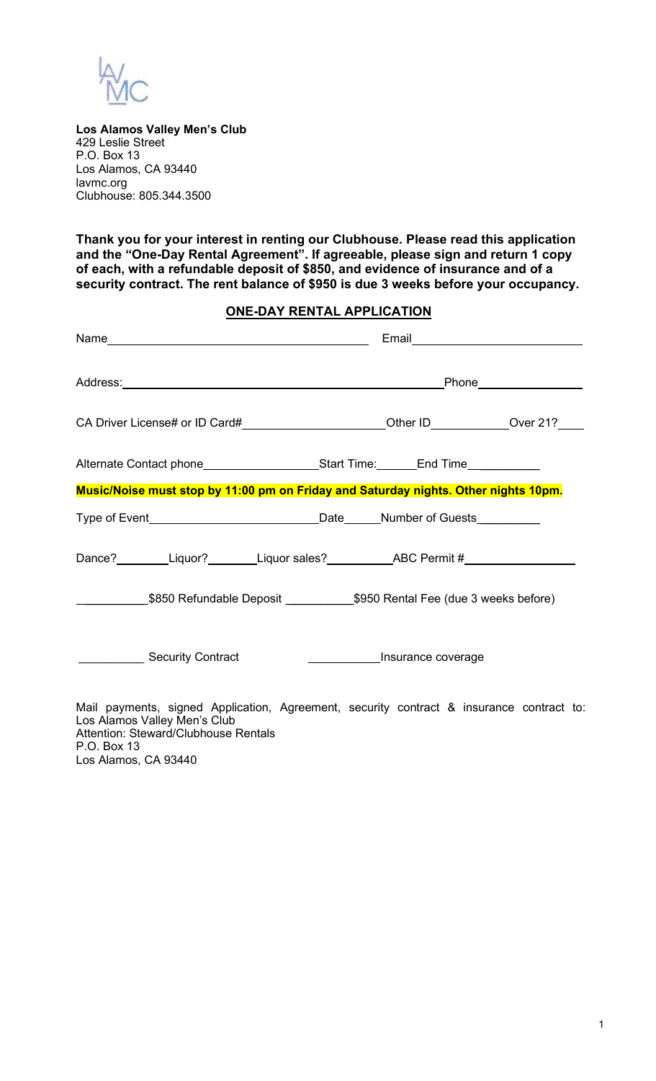

P.O. Box 13

Los Alamos, CA 93440

**Los Alamos Valley Men's Club** 429 Leslie Street P.O. Box 13 Los Alamos, CA 93440 [lavmc.org](http://www.losalamosvalley.org/) Clubhouse: 805.344.3500

**Thank you for your interest in renting our Clubhouse. Please read this application and the "One-Day Rental Agreement". If agreeable, please sign and return 1 copy of each, with a refundable deposit of \$850, and evidence of insurance and of a security contract. The rent balance of \$950 is due 3 weeks before your occupancy.**

## **ONE-DAY RENTAL APPLICATION**

| Address: Phone Phone Phone Phone Phone Phone Phone Phone Phone Phone Phone Phone Phone Phone Phone Phone Phone Phone Phone Phone Phone Phone Phone Phone Phone Phone Phone Phone Phone Phone Phone Phone Phone Phone Phone Pho |                                        |  |
|--------------------------------------------------------------------------------------------------------------------------------------------------------------------------------------------------------------------------------|----------------------------------------|--|
| CA Driver License# or ID Card#________________________Other ID____________Over 21?____                                                                                                                                         |                                        |  |
| Alternate Contact phone_________________________Start Time:________End Time____________                                                                                                                                        |                                        |  |
| Music/Noise must stop by 11:00 pm on Friday and Saturday nights. Other nights 10pm.                                                                                                                                            |                                        |  |
|                                                                                                                                                                                                                                |                                        |  |
|                                                                                                                                                                                                                                |                                        |  |
|                                                                                                                                                                                                                                |                                        |  |
| Security Contract                                                                                                                                                                                                              | <b>Example 2016</b> Insurance coverage |  |
| Mail payments, signed Application, Agreement, security contract & insurance contract to:<br>Los Alamos Valley Men's Club<br>Attention: Steward/Clubhouse Rentals                                                               |                                        |  |

1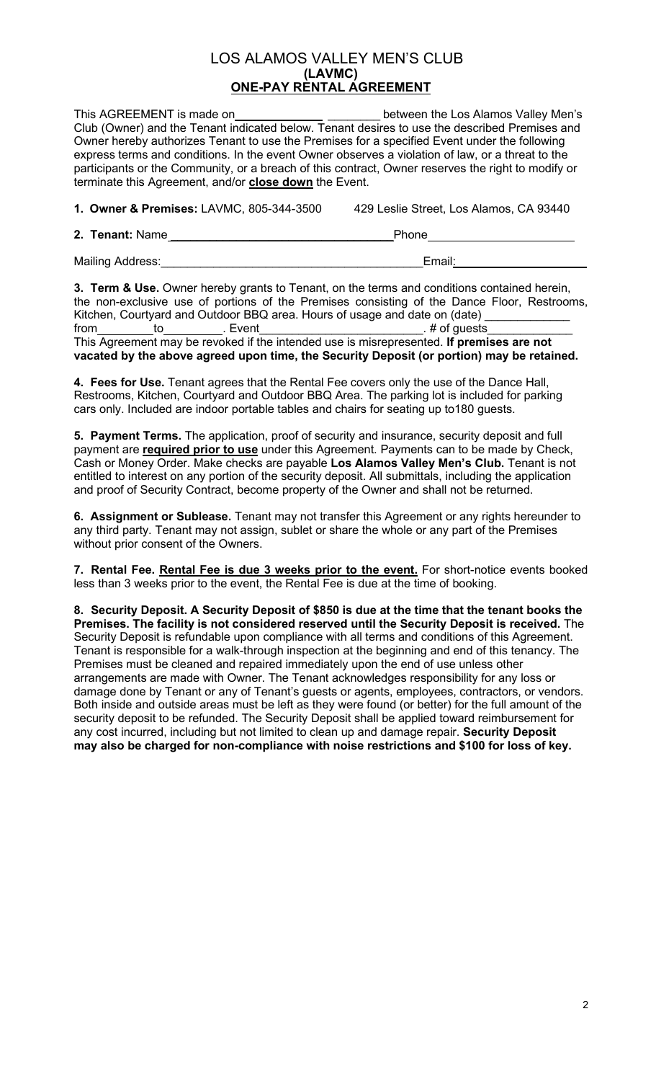## LOS ALAMOS VALLEY MEN'S CLUB **(LAVMC) ONE-PAY RENTAL AGREEMENT**

This AGREEMENT is made on the same of the between the Los Alamos Valley Men's Club (Owner) and the Tenant indicated below. Tenant desires to use the described Premises and Owner hereby authorizes Tenant to use the Premises for a specified Event under the following express terms and conditions. In the event Owner observes a violation of law, or a threat to the participants or the Community, or a breach of this contract, Owner reserves the right to modify or terminate this Agreement, and/or **close down** the Event.

**1. Owner & Premises:** LAVMC, 805-344-3500 429 Leslie Street, Los Alamos, CA 93440

**2. Tenant:** Name \_\_\_\_\_\_\_\_\_\_\_\_\_\_\_\_\_\_\_\_\_\_\_\_\_\_\_\_\_\_\_\_\_\_Phone

Mailing Address:\_\_\_\_\_\_\_\_\_\_\_\_\_\_\_\_\_\_\_\_\_\_\_\_\_\_\_\_\_\_\_\_\_\_\_\_\_\_\_\_Email:\_\_\_\_\_\_\_\_\_\_\_\_\_\_\_\_\_\_\_\_

**3. Term & Use.** Owner hereby grants to Tenant, on the terms and conditions contained herein, the non-exclusive use of portions of the Premises consisting of the Dance Floor, Restrooms, Kitchen, Courtyard and Outdoor BBQ area. Hours of usage and date on (date) from\_\_\_\_\_\_\_\_\_to\_\_\_\_\_\_\_\_\_\_\_. Event\_\_\_\_\_\_\_\_\_\_\_\_\_\_\_\_\_\_\_\_\_\_\_\_\_\_\_\_\_. # of guests\_\_\_\_\_\_\_\_\_\_\_\_ This Agreement may be revoked if the intended use is misrepresented. **If premises are not vacated by the above agreed upon time, the Security Deposit (or portion) may be retained.**

**4. Fees for Use.** Tenant agrees that the Rental Fee covers only the use of the Dance Hall, Restrooms, Kitchen, Courtyard and Outdoor BBQ Area. The parking lot is included for parking cars only. Included are indoor portable tables and chairs for seating up to180 guests.

**5. Payment Terms.** The application, proof of security and insurance, security deposit and full payment are **required prior to use** under this Agreement. Payments can to be made by Check, Cash or Money Order. Make checks are payable **Los Alamos Valley Men's Club.** Tenant is not entitled to interest on any portion of the security deposit. All submittals, including the application and proof of Security Contract, become property of the Owner and shall not be returned.

**6. Assignment or Sublease.** Tenant may not transfer this Agreement or any rights hereunder to any third party. Tenant may not assign, sublet or share the whole or any part of the Premises without prior consent of the Owners.

**7. Rental Fee. Rental Fee is due 3 weeks prior to the event.** For short-notice events booked less than 3 weeks prior to the event, the Rental Fee is due at the time of booking.

**8. Security Deposit. A Security Deposit of \$850 is due at the time that the tenant books the Premises. The facility is not considered reserved until the Security Deposit is received.** The Security Deposit is refundable upon compliance with all terms and conditions of this Agreement. Tenant is responsible for a walk-through inspection at the beginning and end of this tenancy. The Premises must be cleaned and repaired immediately upon the end of use unless other arrangements are made with Owner. The Tenant acknowledges responsibility for any loss or damage done by Tenant or any of Tenant's guests or agents, employees, contractors, or vendors. Both inside and outside areas must be left as they were found (or better) for the full amount of the security deposit to be refunded. The Security Deposit shall be applied toward reimbursement for any cost incurred, including but not limited to clean up and damage repair. **Security Deposit may also be charged for non-compliance with noise restrictions and \$100 for loss of key.**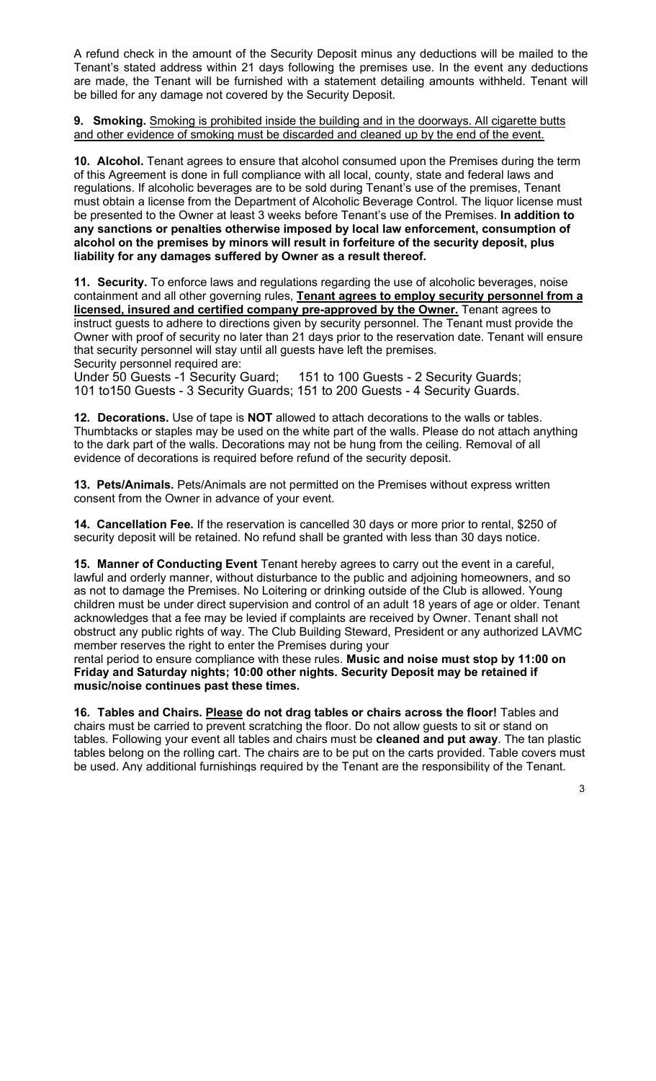A refund check in the amount of the Security Deposit minus any deductions will be mailed to the Tenant's stated address within 21 days following the premises use. In the event any deductions are made, the Tenant will be furnished with a statement detailing amounts withheld. Tenant will be billed for any damage not covered by the Security Deposit.

**9. Smoking.** Smoking is prohibited inside the building and in the doorways. All cigarette butts and other evidence of smoking must be discarded and cleaned up by the end of the event.

**10. Alcohol.** Tenant agrees to ensure that alcohol consumed upon the Premises during the term of this Agreement is done in full compliance with all local, county, state and federal laws and regulations. If alcoholic beverages are to be sold during Tenant's use of the premises, Tenant must obtain a license from the Department of Alcoholic Beverage Control. The liquor license must be presented to the Owner at least 3 weeks before Tenant's use of the Premises. **In addition to any sanctions or penalties otherwise imposed by local law enforcement, consumption of alcohol on the premises by minors will result in forfeiture of the security deposit, plus liability for any damages suffered by Owner as a result thereof.**

**11. Security.** To enforce laws and regulations regarding the use of alcoholic beverages, noise containment and all other governing rules, **Tenant agrees to employ security personnel from a licensed, insured and certified company pre-approved by the Owner.** Tenant agrees to instruct guests to adhere to directions given by security personnel. The Tenant must provide the Owner with proof of security no later than 21 days prior to the reservation date. Tenant will ensure that security personnel will stay until all guests have left the premises.

Security personnel required are:<br>Under 50 Guests -1 Security Guard; 151 to 100 Guests - 2 Security Guards; 101 to150 Guests - 3 Security Guards; 151 to 200 Guests - 4 Security Guards.

**12. Decorations.** Use of tape is **NOT** allowed to attach decorations to the walls or tables. Thumbtacks or staples may be used on the white part of the walls. Please do not attach anything to the dark part of the walls. Decorations may not be hung from the ceiling. Removal of all evidence of decorations is required before refund of the security deposit.

**13. Pets/Animals.** Pets/Animals are not permitted on the Premises without express written consent from the Owner in advance of your event.

**14. Cancellation Fee.** If the reservation is cancelled 30 days or more prior to rental, \$250 of security deposit will be retained. No refund shall be granted with less than 30 days notice.

**15. Manner of Conducting Event** Tenant hereby agrees to carry out the event in a careful, lawful and orderly manner, without disturbance to the public and adjoining homeowners, and so as not to damage the Premises. No Loitering or drinking outside of the Club is allowed. Young children must be under direct supervision and control of an adult 18 years of age or older. Tenant acknowledges that a fee may be levied if complaints are received by Owner. Tenant shall not obstruct any public rights of way. The Club Building Steward, President or any authorized LAVMC member reserves the right to enter the Premises during your

rental period to ensure compliance with these rules. **Music and noise must stop by 11:00 on Friday and Saturday nights; 10:00 other nights. Security Deposit may be retained if music/noise continues past these times.**

**16. Tables and Chairs. Please do not drag tables or chairs across the floor!** Tables and chairs must be carried to prevent scratching the floor. Do not allow guests to sit or stand on tables. Following your event all tables and chairs must be **cleaned and put away**. The tan plastic tables belong on the rolling cart. The chairs are to be put on the carts provided. Table covers must be used. Any additional furnishings required by the Tenant are the responsibility of the Tenant.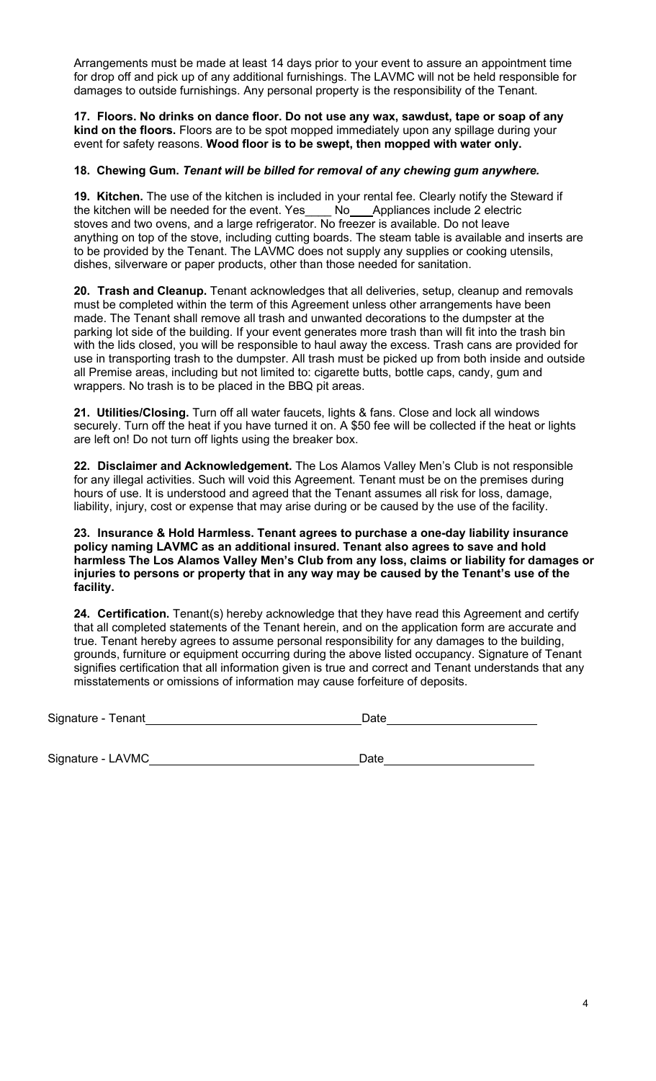Arrangements must be made at least 14 days prior to your event to assure an appointment time for drop off and pick up of any additional furnishings. The LAVMC will not be held responsible for damages to outside furnishings. Any personal property is the responsibility of the Tenant.

**17. Floors. No drinks on dance floor. Do not use any wax, sawdust, tape or soap of any kind on the floors.** Floors are to be spot mopped immediately upon any spillage during your event for safety reasons. **Wood floor is to be swept, then mopped with water only.**

## **18. Chewing Gum.** *Tenant will be billed for removal of any chewing gum anywhere.*

**19. Kitchen.** The use of the kitchen is included in your rental fee. Clearly notify the Steward if the kitchen will be needed for the event. Yes\_\_\_\_ No\_\_\_Appliances include 2 electric stoves and two ovens, and a large refrigerator. No freezer is available. Do not leave anything on top of the stove, including cutting boards. The steam table is available and inserts are to be provided by the Tenant. The LAVMC does not supply any supplies or cooking utensils, dishes, silverware or paper products, other than those needed for sanitation.

**20. Trash and Cleanup.** Tenant acknowledges that all deliveries, setup, cleanup and removals must be completed within the term of this Agreement unless other arrangements have been made. The Tenant shall remove all trash and unwanted decorations to the dumpster at the parking lot side of the building. If your event generates more trash than will fit into the trash bin with the lids closed, you will be responsible to haul away the excess. Trash cans are provided for use in transporting trash to the dumpster. All trash must be picked up from both inside and outside all Premise areas, including but not limited to: cigarette butts, bottle caps, candy, gum and wrappers. No trash is to be placed in the BBQ pit areas.

**21. Utilities/Closing.** Turn off all water faucets, lights & fans. Close and lock all windows securely. Turn off the heat if you have turned it on. A \$50 fee will be collected if the heat or lights are left on! Do not turn off lights using the breaker box.

**22. Disclaimer and Acknowledgement.** The Los Alamos Valley Men's Club is not responsible for any illegal activities. Such will void this Agreement. Tenant must be on the premises during hours of use. It is understood and agreed that the Tenant assumes all risk for loss, damage, liability, injury, cost or expense that may arise during or be caused by the use of the facility.

**23. Insurance & Hold Harmless. Tenant agrees to purchase a one-day liability insurance policy naming LAVMC as an additional insured. Tenant also agrees to save and hold harmless The Los Alamos Valley Men's Club from any loss, claims or liability for damages or injuries to persons or property that in any way may be caused by the Tenant's use of the facility.**

**24. Certification.** Tenant(s) hereby acknowledge that they have read this Agreement and certify that all completed statements of the Tenant herein, and on the application form are accurate and true. Tenant hereby agrees to assume personal responsibility for any damages to the building, grounds, furniture or equipment occurring during the above listed occupancy. Signature of Tenant signifies certification that all information given is true and correct and Tenant understands that any misstatements or omissions of information may cause forfeiture of deposits.

Signature - Tenant Date

Signature - LAVMC Date